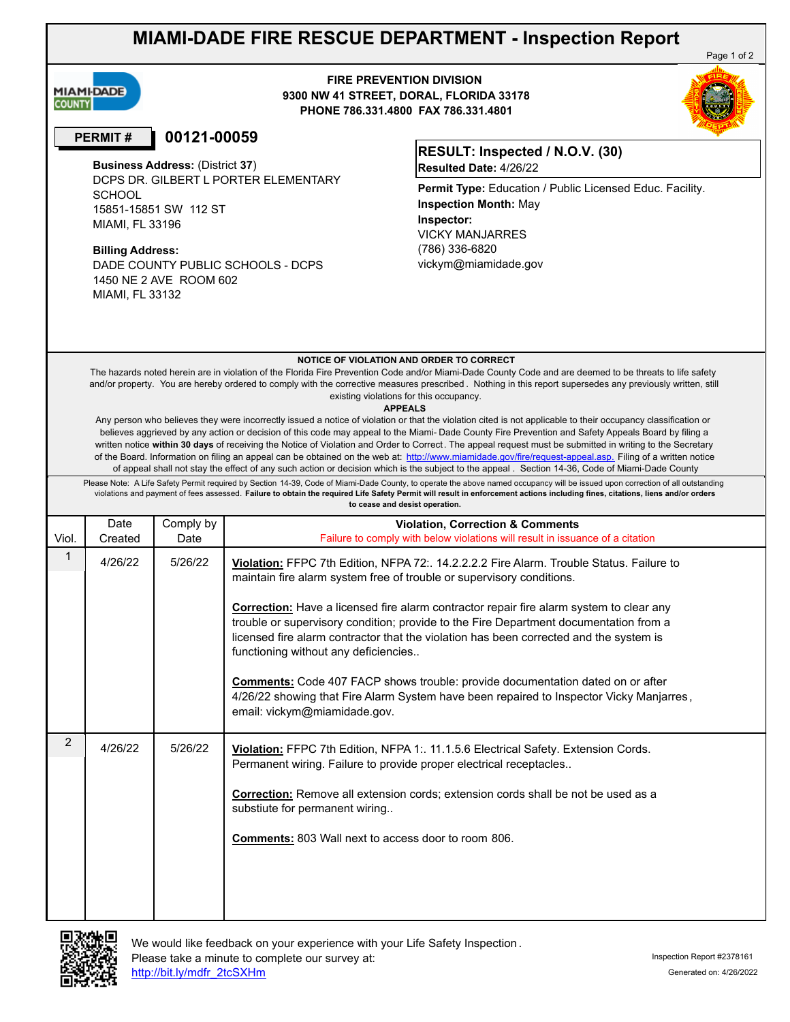# **MIAMI-DADE FIRE RESCUE DEPARTMENT - Inspection Report**



**FIRE PREVENTION DIVISION 9300 NW 41 STREET, DORAL, FLORIDA 33178 PHONE 786.331.4800 FAX 786.331.4801**

## **PERMIT # 00121-00059**

**Business Address:** (District **37**) DCPS DR. GILBERT L PORTER ELEMENTARY **SCHOOL** 15851-15851 SW 112 ST MIAMI, FL 33196 **Inspector:**

### **Billing Address:**

DADE COUNTY PUBLIC SCHOOLS - DCPS 1450 NE 2 AVE ROOM 602 MIAMI, FL 33132

### **RESULT: Inspected / N.O.V. (30) Resulted Date:** 4/26/22

VICKY MANJARRES (786) 336-6820 vickym@miamidade.gov **Permit Type:** Education / Public Licensed Educ. Facility. **Inspection Month:** May

#### **NOTICE OF VIOLATION AND ORDER TO CORRECT**

The hazards noted herein are in violation of the Florida Fire Prevention Code and/or Miami-Dade County Code and are deemed to be threats to life safety and/or property. You are hereby ordered to comply with the corrective measures prescribed . Nothing in this report supersedes any previously written, still existing violations for this occupancy.

#### **APPEALS**

Any person who believes they were incorrectly issued a notice of violation or that the violation cited is not applicable to their occupancy classification or believes aggrieved by any action or decision of this code may appeal to the Miami- Dade County Fire Prevention and Safety Appeals Board by filing a written notice **within 30 days** of receiving the Notice of Violation and Order to Correct. The appeal request must be submitted in writing to the Secretary of the Board. Information on filing an appeal can be obtained on the web at: http://www.miamidade.gov/fire/request-appeal.asp. Filing of a written notice of appeal shall not stay the effect of any such action or decision which is the subject to the appeal . Section 14-36, Code of Miami-Dade County

Please Note: A Life Safety Permit required by Section 14-39, Code of Miami-Dade County, to operate the above named occupancy will be issued upon correction of all outstanding violations and payment of fees assessed. **Failure to obtain the required Life Safety Permit will result in enforcement actions including fines, citations, liens and/or orders to cease and desist operation.**

| Viol.          | Date<br>Created | Comply by<br>Date | <b>Violation, Correction &amp; Comments</b><br>Failure to comply with below violations will result in issuance of a citation                                                                                                                                                                                                                                                                                                                                                                                                                                                                                                                                                                                       |
|----------------|-----------------|-------------------|--------------------------------------------------------------------------------------------------------------------------------------------------------------------------------------------------------------------------------------------------------------------------------------------------------------------------------------------------------------------------------------------------------------------------------------------------------------------------------------------------------------------------------------------------------------------------------------------------------------------------------------------------------------------------------------------------------------------|
|                | 4/26/22         | 5/26/22           | Violation: FFPC 7th Edition, NFPA 72:. 14.2.2.2.2 Fire Alarm. Trouble Status. Failure to<br>maintain fire alarm system free of trouble or supervisory conditions.<br><b>Correction:</b> Have a licensed fire alarm contractor repair fire alarm system to clear any<br>trouble or supervisory condition; provide to the Fire Department documentation from a<br>licensed fire alarm contractor that the violation has been corrected and the system is<br>functioning without any deficiencies<br><b>Comments:</b> Code 407 FACP shows trouble: provide documentation dated on or after<br>4/26/22 showing that Fire Alarm System have been repaired to Inspector Vicky Manjarres,<br>email: vickym@miamidade.gov. |
| $\overline{2}$ | 4/26/22         | 5/26/22           | Violation: FFPC 7th Edition, NFPA 1:. 11.1.5.6 Electrical Safety. Extension Cords.<br>Permanent wiring. Failure to provide proper electrical receptacles<br><b>Correction:</b> Remove all extension cords; extension cords shall be not be used as a<br>substiute for permanent wiring<br><b>Comments:</b> 803 Wall next to access door to room 806.                                                                                                                                                                                                                                                                                                                                                               |